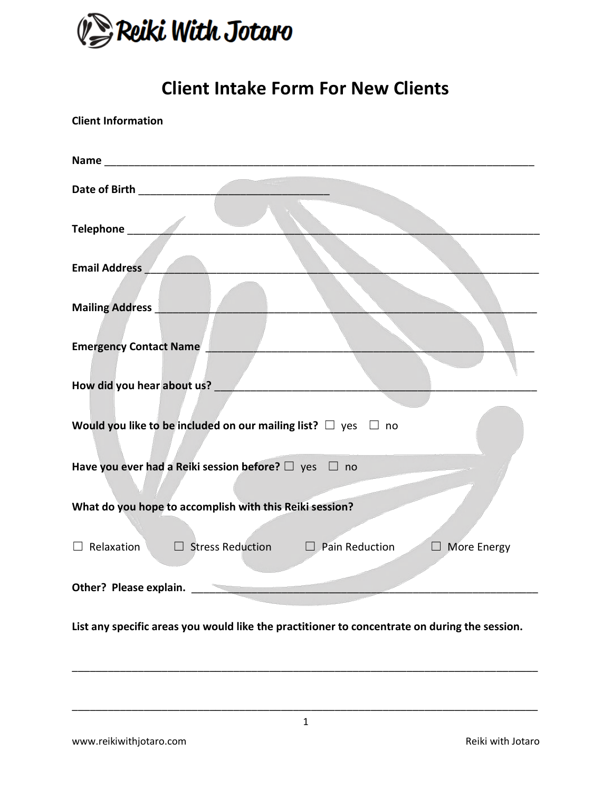

# **Client Intake Form For New Clients**

| <b>Client Information</b>                                                                     |
|-----------------------------------------------------------------------------------------------|
|                                                                                               |
|                                                                                               |
|                                                                                               |
| <b>Email Address</b>                                                                          |
| <b>Mailing Address</b>                                                                        |
|                                                                                               |
| <b>Emergency Contact Name</b>                                                                 |
| How did you hear about us?                                                                    |
| Would you like to be included on our mailing list? $\Box$ yes $\Box$ no                       |
| Have you ever had a Reiki session before? $\Box$ yes $\Box$ no                                |
| What do you hope to accomplish with this Reiki session?                                       |
| Relaxation<br>$\Box$ Stress Reduction $\Box$ Pain Reduction<br>$\Box$ More Energy             |
| Other? Please explain.                                                                        |
| List any specific areas you would like the practitioner to concentrate on during the session. |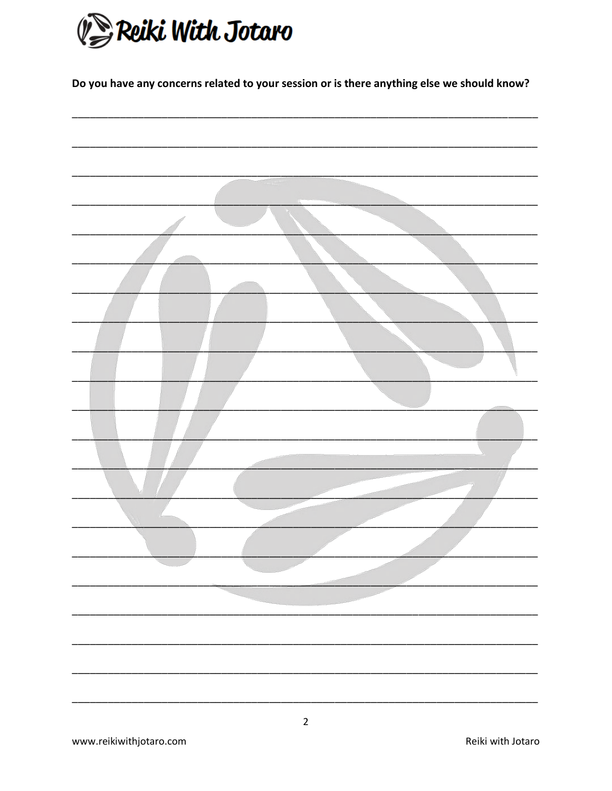

Do you have any concerns related to your session or is there anything else we should know?

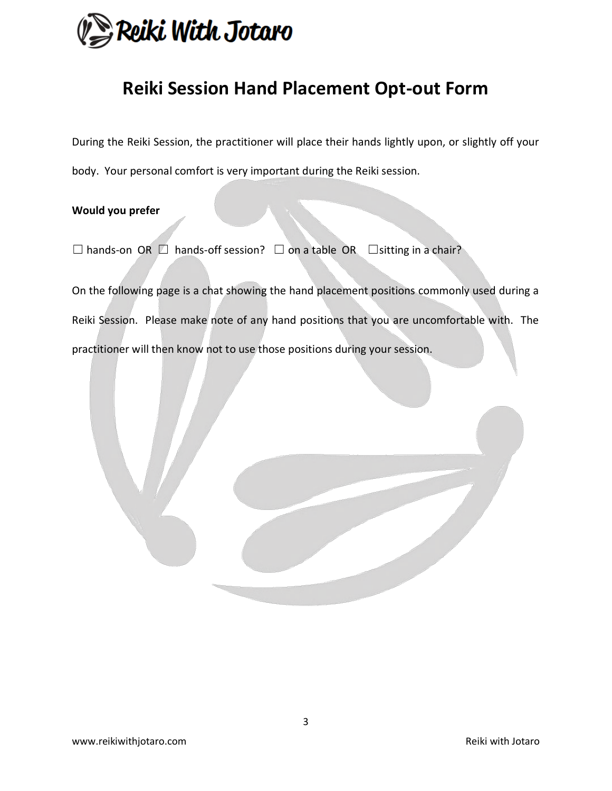

## **Reiki Session Hand Placement Opt-out Form**

During the Reiki Session, the practitioner will place their hands lightly upon, or slightly off your body. Your personal comfort is very important during the Reiki session.

### **Would you prefer**

 $\Box$  hands-on OR  $\Box$  hands-off session?  $\Box$  on a table OR  $\Box$ sitting in a chair?

On the following page is a chat showing the hand placement positions commonly used during a Reiki Session. Please make note of any hand positions that you are uncomfortable with. The practitioner will then know not to use those positions during your session.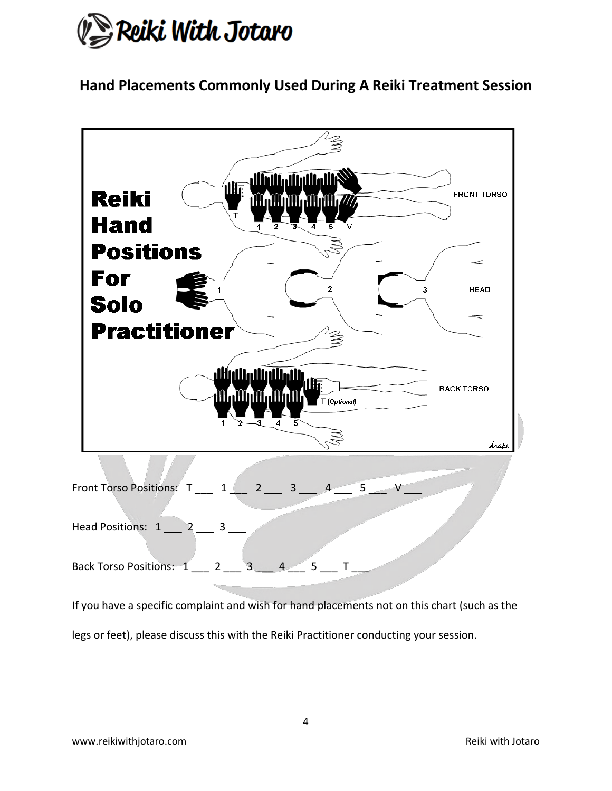

**Hand Placements Commonly Used During A Reiki Treatment Session**



legs or feet), please discuss this with the Reiki Practitioner conducting your session.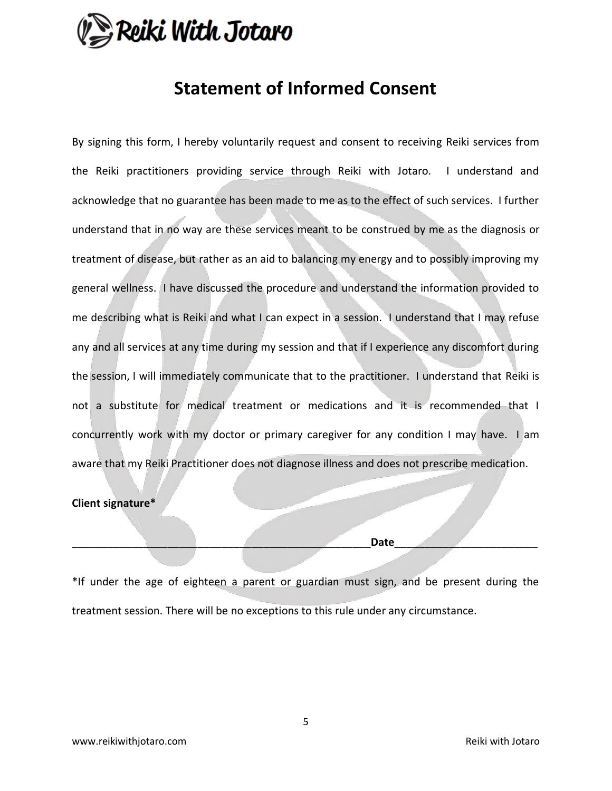

### **Statement of Informed Consent**

By signing this form, I hereby voluntarily request and consent to receiving Reiki services from the Reiki practitioners providing service through Reiki with Jotaro. I understand and acknowledge that no guarantee has been made to me as to the effect of such services. I further understand that in no way are these services meant to be construed by me as the diagnosis or treatment of disease, but rather as an aid to balancing my energy and to possibly improving my general wellness. I have discussed the procedure and understand the information provided to me describing what is Reiki and what I can expect in a session. I understand that I may refuse any and all services at any time during my session and that if I experience any discomfort during the session, I will immediately communicate that to the practitioner. I understand that Reiki is not a substitute for medical treatment or medications and it is recommended that I concurrently work with my doctor or primary caregiver for any condition I may have. I am aware that my Reiki Practitioner does not diagnose illness and does not prescribe medication.

#### **Client signature\***

\_\_\_\_\_\_\_\_\_\_\_\_\_\_\_\_\_\_\_\_\_\_\_\_\_\_\_\_\_\_\_\_\_\_\_\_\_\_\_\_\_\_\_\_\_\_\_\_\_\_**Date**\_\_\_\_\_\_\_\_\_\_\_\_\_\_\_\_\_\_\_\_\_\_\_\_

\*If under the age of eighteen a parent or guardian must sign, and be present during the treatment session. There will be no exceptions to this rule under any circumstance.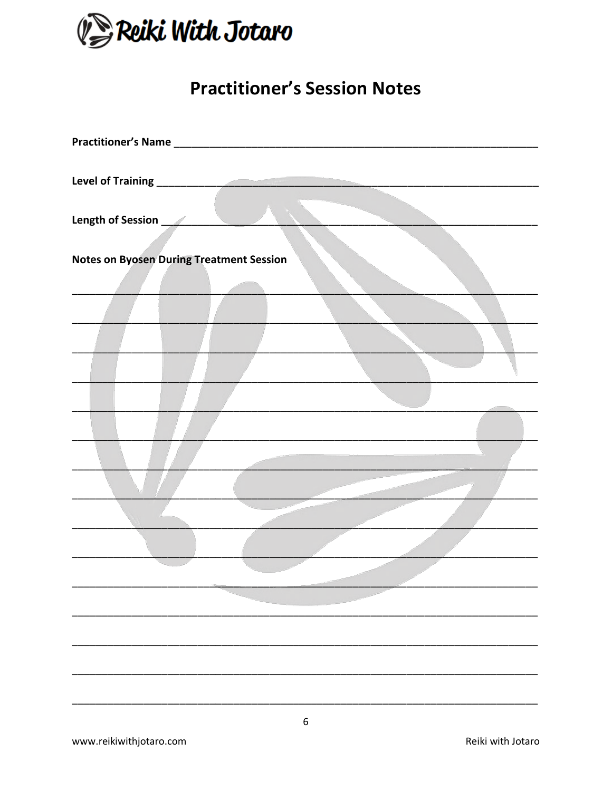

## **Practitioner's Session Notes**

| Level of Training<br><u>Level of Training</u>   |
|-------------------------------------------------|
|                                                 |
| Length of Session<br><u>Length of Session</u>   |
|                                                 |
| <b>Notes on Byosen During Treatment Session</b> |
|                                                 |
|                                                 |
|                                                 |
|                                                 |
|                                                 |
|                                                 |
|                                                 |
|                                                 |
|                                                 |
|                                                 |
|                                                 |
|                                                 |
|                                                 |
|                                                 |
|                                                 |
|                                                 |